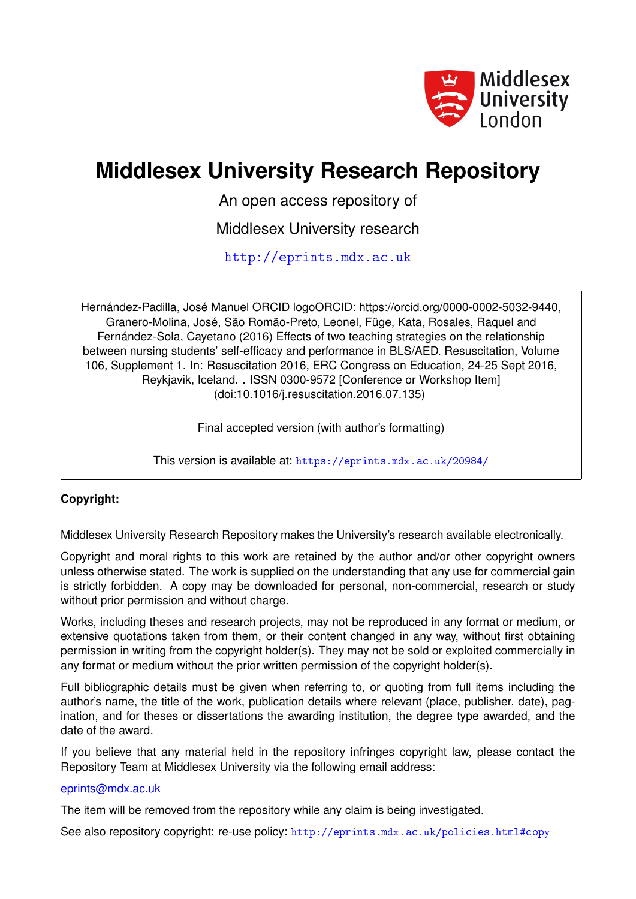

# **Middlesex University Research Repository**

An open access repository of

Middlesex University research

<http://eprints.mdx.ac.uk>

Hernández-Padilla, José Manuel ORCID logoORCID: https://orcid.org/0000-0002-5032-9440, Granero-Molina, José, São Romão-Preto, Leonel, Füge, Kata, Rosales, Raquel and Fernández-Sola, Cayetano (2016) Effects of two teaching strategies on the relationship between nursing students' self-efficacy and performance in BLS/AED. Resuscitation, Volume 106, Supplement 1. In: Resuscitation 2016, ERC Congress on Education, 24-25 Sept 2016, Reykjavik, Iceland. . ISSN 0300-9572 [Conference or Workshop Item] (doi:10.1016/j.resuscitation.2016.07.135)

Final accepted version (with author's formatting)

This version is available at: <https://eprints.mdx.ac.uk/20984/>

## **Copyright:**

Middlesex University Research Repository makes the University's research available electronically.

Copyright and moral rights to this work are retained by the author and/or other copyright owners unless otherwise stated. The work is supplied on the understanding that any use for commercial gain is strictly forbidden. A copy may be downloaded for personal, non-commercial, research or study without prior permission and without charge.

Works, including theses and research projects, may not be reproduced in any format or medium, or extensive quotations taken from them, or their content changed in any way, without first obtaining permission in writing from the copyright holder(s). They may not be sold or exploited commercially in any format or medium without the prior written permission of the copyright holder(s).

Full bibliographic details must be given when referring to, or quoting from full items including the author's name, the title of the work, publication details where relevant (place, publisher, date), pagination, and for theses or dissertations the awarding institution, the degree type awarded, and the date of the award.

If you believe that any material held in the repository infringes copyright law, please contact the Repository Team at Middlesex University via the following email address:

### [eprints@mdx.ac.uk](mailto:eprints@mdx.ac.uk)

The item will be removed from the repository while any claim is being investigated.

See also repository copyright: re-use policy: <http://eprints.mdx.ac.uk/policies.html#copy>